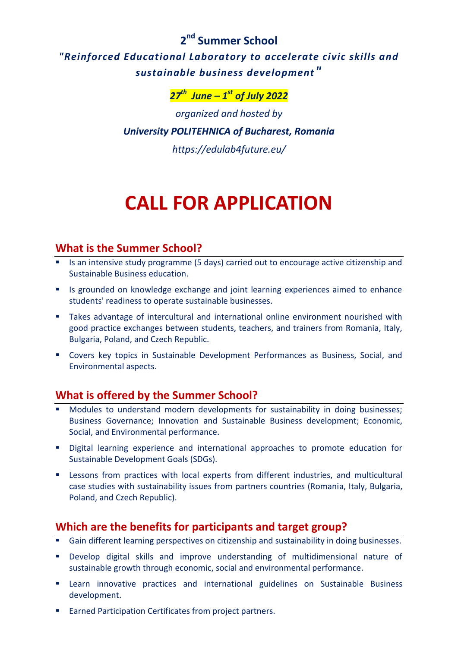**2 nd Summer School**

*"Reinforced Educational Laboratory to accelerate civic skills and sustainable business development"* 

*27 th June – 1 st of July 2022*

*organized and hosted by University POLITEHNICA of Bucharest, Romania https://edulab4future.eu/*

# **CALL FOR APPLICATION**

# **What is the Summer School?**

- **IS an intensive study programme (5 days) carried out to encourage active citizenship and** Sustainable Business education.
- **IF** Is grounded on knowledge exchange and joint learning experiences aimed to enhance students' readiness to operate sustainable businesses.
- Takes advantage of intercultural and international online environment nourished with good practice exchanges between students, teachers, and trainers from Romania, Italy, Bulgaria, Poland, and Czech Republic.
- Covers key topics in Sustainable Development Performances as Business, Social, and Environmental aspects.

# **What is offered by the Summer School?**

- Modules to understand modern developments for sustainability in doing businesses; Business Governance; Innovation and Sustainable Business development; Economic, Social, and Environmental performance.
- Digital learning experience and international approaches to promote education for Sustainable Development Goals (SDGs).
- **EXP** Lessons from practices with local experts from different industries, and multicultural case studies with sustainability issues from partners countries (Romania, Italy, Bulgaria, Poland, and Czech Republic).

# **Which are the benefits for participants and target group?**

- Gain different learning perspectives on citizenship and sustainability in doing businesses.
- Develop digital skills and improve understanding of multidimensional nature of sustainable growth through economic, social and environmental performance.
- Learn innovative practices and international guidelines on Sustainable Business development.
- Earned Participation Certificates from project partners.